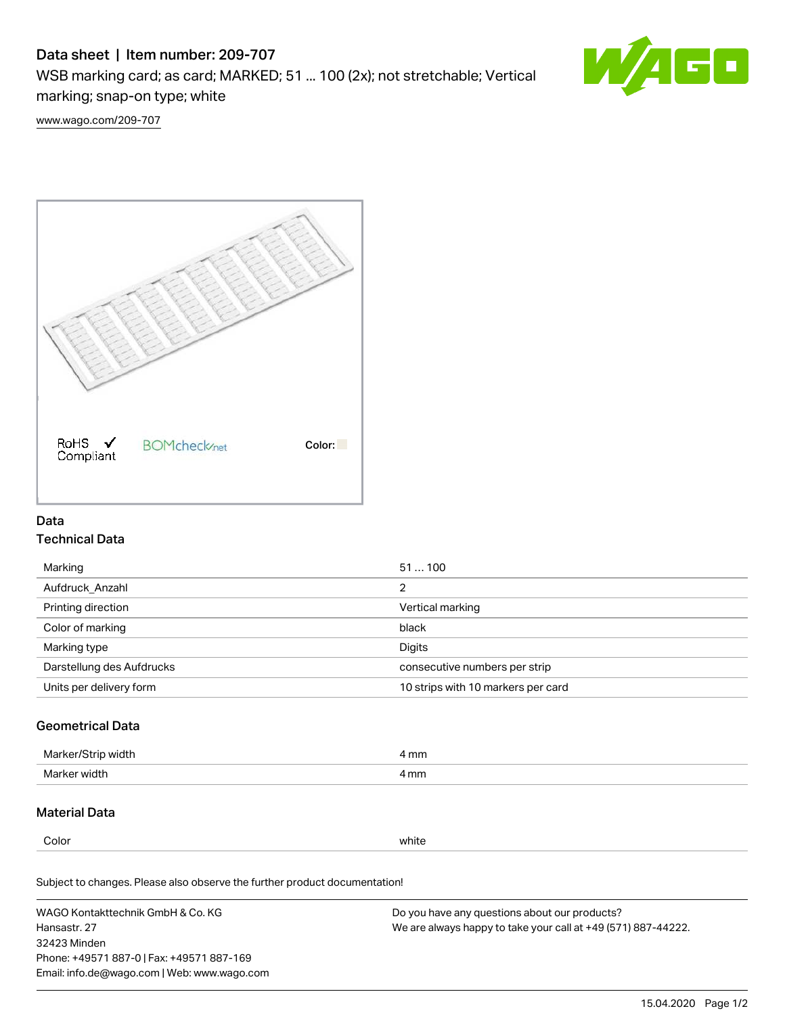# Data sheet | Item number: 209-707

WSB marking card; as card; MARKED; 51 ... 100 (2x); not stretchable; Vertical marking; snap-on type; white



[www.wago.com/209-707](http://www.wago.com/209-707)



### Data Technical Data

| Marking                   | 51100                              |
|---------------------------|------------------------------------|
| Aufdruck Anzahl           | 2                                  |
| Printing direction        | Vertical marking                   |
| Color of marking          | black                              |
| Marking type              | Digits                             |
| Darstellung des Aufdrucks | consecutive numbers per strip      |
| Units per delivery form   | 10 strips with 10 markers per card |

## Geometrical Data

| Marker<br>∘width. | l mm |
|-------------------|------|
| Marker width      | 4 mm |

### Material Data

Color white

Subject to changes. Please also observe the further product documentation!

WAGO Kontakttechnik GmbH & Co. KG Hansastr. 27 32423 Minden Phone: +49571 887-0 | Fax: +49571 887-169 Email: info.de@wago.com | Web: www.wago.com Do you have any questions about our products? We are always happy to take your call at +49 (571) 887-44222.